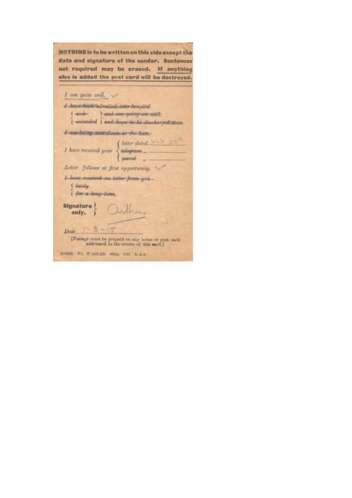NOTHING is to be written on this side except the date and signature of the sender. Sentences not required may be erased. If anything else is added the post card will be destroyed.

| I am quite well.                                                                                                                           |
|--------------------------------------------------------------------------------------------------------------------------------------------|
| d dave been admitted into nosmital                                                                                                         |
| $\left\{\begin{array}{ll} side & i. \end{array}\right\}$ and am going on well;<br>$\left\{\begin{array}{ll} side & i. \end{array}\right\}$ |
|                                                                                                                                            |
| I can being and chains to the busi-                                                                                                        |
| $I \text{ have received your } \begin{cases} letter data & \text{with } 2 \leq 1. \\ \text{the argument} & \text{with } 3. \end{cases}$    |
|                                                                                                                                            |
| Letter follows at first opportunity.                                                                                                       |
| I have received no letter from you-<br>(dutchy,<br><i>farma-hang-time</i> ,                                                                |
| signature } Quilbury                                                                                                                       |
| $-5 - 15$<br>Dale.                                                                                                                         |
| Postage must be prepaid on any letter or post card<br>addressed to the semine of this sard.)                                               |
| (100009) WV, W port-Bit, HODGL: A/10, N. & G.                                                                                              |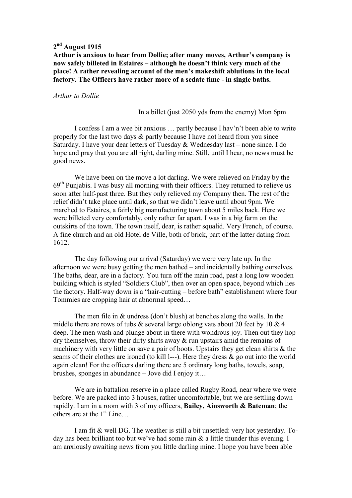## **2 nd August 1915**

### **Arthur is anxious to hear from Dollie; after many moves, Arthur's company is now safely billeted in Estaires – although he doesn't think very much of the place! A rather revealing account of the men's makeshift ablutions in the local factory. The Officers have rather more of a sedate time - in single baths.**

#### *Arthur to Dollie*

In a billet (just 2050 yds from the enemy) Mon 6pm

 I confess I am a wee bit anxious … partly because I hav'n't been able to write properly for the last two days & partly because I have not heard from you since Saturday. I have your dear letters of Tuesday & Wednesday last – none since. I do hope and pray that you are all right, darling mine. Still, until I hear, no news must be good news.

 We have been on the move a lot darling. We were relieved on Friday by the  $69<sup>th</sup>$  Punjabis. I was busy all morning with their officers. They returned to relieve us soon after half-past three. But they only relieved my Company then. The rest of the relief didn't take place until dark, so that we didn't leave until about 9pm. We marched to Estaires, a fairly big manufacturing town about 5 miles back. Here we were billeted very comfortably, only rather far apart. I was in a big farm on the outskirts of the town. The town itself, dear, is rather squalid. Very French, of course. A fine church and an old Hotel de Ville, both of brick, part of the latter dating from 1612.

 The day following our arrival (Saturday) we were very late up. In the afternoon we were busy getting the men bathed – and incidentally bathing ourselves. The baths, dear, are in a factory. You turn off the main road, past a long low wooden building which is styled "Soldiers Club", then over an open space, beyond which lies the factory. Half-way down is a "hair-cutting – before bath" establishment where four Tommies are cropping hair at abnormal speed…

 The men file in & undress (don't blush) at benches along the walls. In the middle there are rows of tubs  $\&$  several large oblong vats about 20 feet by 10  $\&$  4 deep. The men wash and plunge about in there with wondrous joy. Then out they hop dry themselves, throw their dirty shirts away & run upstairs amid the remains of machinery with very little on save a pair of boots. Upstairs they get clean shirts & the seams of their clothes are ironed (to kill l---). Here they dress & go out into the world again clean! For the officers darling there are 5 ordinary long baths, towels, soap, brushes, sponges in abundance – Jove did I enjoy it…

 We are in battalion reserve in a place called Rugby Road, near where we were before. We are packed into 3 houses, rather uncomfortable, but we are settling down rapidly. I am in a room with 3 of my officers, **Bailey, Ainsworth & Bateman**; the others are at the  $1<sup>st</sup>$  Line...

 I am fit & well DG. The weather is still a bit unsettled: very hot yesterday. Today has been brilliant too but we've had some rain & a little thunder this evening. I am anxiously awaiting news from you little darling mine. I hope you have been able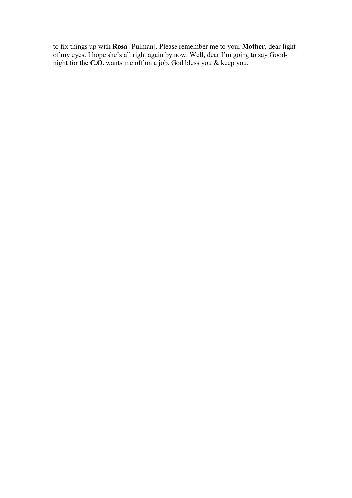to fix things up with **Rosa** [Pulman]. Please remember me to your **Mother**, dear light of my eyes. I hope she's all right again by now. Well, dear I'm going to say Goodnight for the **C.O.** wants me off on a job. God bless you & keep you.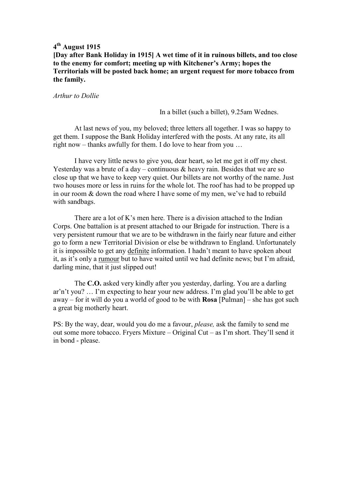**[Day after Bank Holiday in 1915] A wet time of it in ruinous billets, and too close to the enemy for comfort; meeting up with Kitchener's Army; hopes the Territorials will be posted back home; an urgent request for more tobacco from the family.** 

*Arthur to Dollie* 

In a billet (such a billet), 9.25am Wednes.

 At last news of you, my beloved; three letters all together. I was so happy to get them. I suppose the Bank Holiday interfered with the posts. At any rate, its all right now – thanks awfully for them. I do love to hear from you …

 I have very little news to give you, dear heart, so let me get it off my chest. Yesterday was a brute of a day – continuous  $\&$  heavy rain. Besides that we are so close up that we have to keep very quiet. Our billets are not worthy of the name. Just two houses more or less in ruins for the whole lot. The roof has had to be propped up in our room & down the road where I have some of my men, we've had to rebuild with sandbags.

There are a lot of K's men here. There is a division attached to the Indian Corps. One battalion is at present attached to our Brigade for instruction. There is a very persistent rumour that we are to be withdrawn in the fairly near future and either go to form a new Territorial Division or else be withdrawn to England. Unfortunately it is impossible to get any definite information. I hadn't meant to have spoken about it, as it's only a rumour but to have waited until we had definite news; but I'm afraid, darling mine, that it just slipped out!

 The **C.O.** asked very kindly after you yesterday, darling. You are a darling ar'n't you? … I'm expecting to hear your new address. I'm glad you'll be able to get away – for it will do you a world of good to be with **Rosa** [Pulman] – she has got such a great big motherly heart.

PS: By the way, dear, would you do me a favour, *please,* ask the family to send me out some more tobacco. Fryers Mixture – Original Cut – as I'm short. They'll send it in bond - please.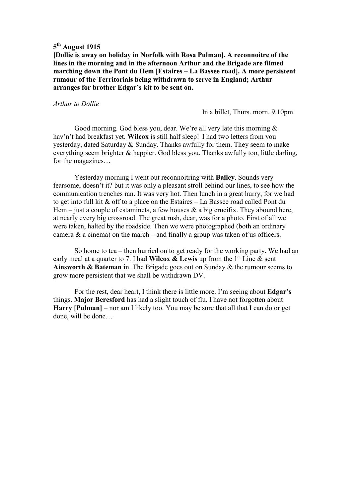**[Dollie is away on holiday in Norfolk with Rosa Pulman]. A reconnoitre of the lines in the morning and in the afternoon Arthur and the Brigade are filmed marching down the Pont du Hem [Estaires – La Bassee road]. A more persistent rumour of the Territorials being withdrawn to serve in England; Arthur arranges for brother Edgar's kit to be sent on.** 

#### *Arthur to Dollie*

In a billet, Thurs. morn. 9.10pm

 Good morning. God bless you, dear. We're all very late this morning & hav'n't had breakfast yet. **Wilcox** is still half sleep! I had two letters from you yesterday, dated Saturday & Sunday. Thanks awfully for them. They seem to make everything seem brighter & happier. God bless you. Thanks awfully too, little darling, for the magazines…

 Yesterday morning I went out reconnoitring with **Bailey**. Sounds very fearsome, doesn't it? but it was only a pleasant stroll behind our lines, to see how the communication trenches ran. It was very hot. Then lunch in a great hurry, for we had to get into full kit & off to a place on the Estaires – La Bassee road called Pont du Hem – just a couple of estaminets, a few houses  $\&$  a big crucifix. They abound here, at nearly every big crossroad. The great rush, dear, was for a photo. First of all we were taken, halted by the roadside. Then we were photographed (both an ordinary camera  $\&$  a cinema) on the march – and finally a group was taken of us officers.

 So home to tea – then hurried on to get ready for the working party. We had an early meal at a quarter to 7. I had **Wilcox & Lewis** up from the  $1<sup>st</sup>$  Line & sent **Ainsworth & Bateman** in. The Brigade goes out on Sunday & the rumour seems to grow more persistent that we shall be withdrawn DV.

 For the rest, dear heart, I think there is little more. I'm seeing about **Edgar's** things. **Major Beresford** has had a slight touch of flu. I have not forgotten about **Harry [Pulman]** – nor am I likely too. You may be sure that all that I can do or get done, will be done…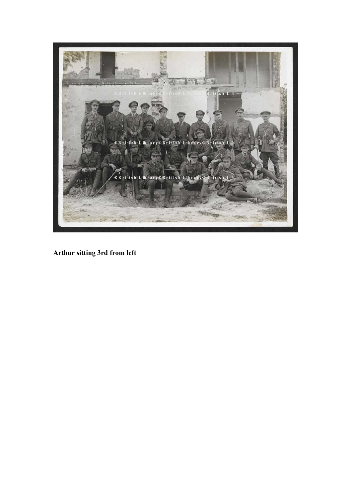

**Arthur sitting 3rd from left**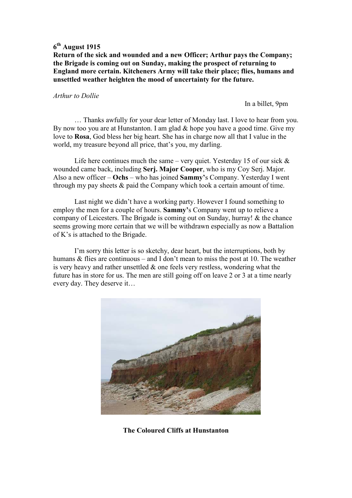**Return of the sick and wounded and a new Officer; Arthur pays the Company; the Brigade is coming out on Sunday, making the prospect of returning to England more certain. Kitcheners Army will take their place; flies, humans and unsettled weather heighten the mood of uncertainty for the future.** 

### *Arthur to Dollie*

In a billet, 9pm

 … Thanks awfully for your dear letter of Monday last. I love to hear from you. By now too you are at Hunstanton. I am glad & hope you have a good time. Give my love to **Rosa**, God bless her big heart. She has in charge now all that I value in the world, my treasure beyond all price, that's you, my darling.

Life here continues much the same – very quiet. Yesterday 15 of our sick  $\&$ wounded came back, including **Serj. Major Cooper**, who is my Coy Serj. Major. Also a new officer – **Ochs** – who has joined **Sammy'**s Company. Yesterday I went through my pay sheets & paid the Company which took a certain amount of time.

 Last night we didn't have a working party. However I found something to employ the men for a couple of hours. **Sammy'**s Company went up to relieve a company of Leicesters. The Brigade is coming out on Sunday, hurray! & the chance seems growing more certain that we will be withdrawn especially as now a Battalion of K's is attached to the Brigade.

 I'm sorry this letter is so sketchy, dear heart, but the interruptions, both by humans & flies are continuous – and I don't mean to miss the post at 10. The weather is very heavy and rather unsettled  $\&$  one feels very restless, wondering what the future has in store for us. The men are still going off on leave 2 or 3 at a time nearly every day. They deserve it…



**The Coloured Cliffs at Hunstanton**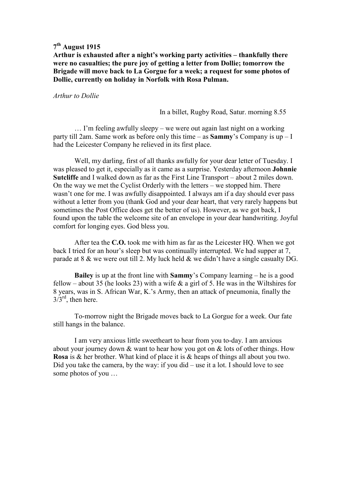### **Arthur is exhausted after a night's working party activities – thankfully there were no casualties; the pure joy of getting a letter from Dollie; tomorrow the Brigade will move back to La Gorgue for a week; a request for some photos of Dollie, currently on holiday in Norfolk with Rosa Pulman.**

#### *Arthur to Dollie*

In a billet, Rugby Road, Satur. morning 8.55

 … I'm feeling awfully sleepy – we were out again last night on a working party till 2am. Same work as before only this time – as **Sammy**'s Company is up – I had the Leicester Company he relieved in its first place.

 Well, my darling, first of all thanks awfully for your dear letter of Tuesday. I was pleased to get it, especially as it came as a surprise. Yesterday afternoon **Johnnie Sutcliffe** and I walked down as far as the First Line Transport – about 2 miles down. On the way we met the Cyclist Orderly with the letters – we stopped him. There wasn't one for me. I was awfully disappointed. I always am if a day should ever pass without a letter from you (thank God and your dear heart, that very rarely happens but sometimes the Post Office does get the better of us). However, as we got back, I found upon the table the welcome site of an envelope in your dear handwriting. Joyful comfort for longing eyes. God bless you.

 After tea the **C.O.** took me with him as far as the Leicester HQ. When we got back I tried for an hour's sleep but was continually interrupted. We had supper at 7, parade at  $8 \& \text{ we were out till 2.}$  My luck held  $\& \text{ we didn't have a single causality DG.}$ 

**Bailey** is up at the front line with **Sammy**'s Company learning – he is a good fellow – about 35 (he looks 23) with a wife  $\&$  a girl of 5. He was in the Wiltshires for 8 years, was in S. African War, K.'s Army, then an attack of pneumonia, finally the  $3/3^{\text{rd}}$ , then here.

 To-morrow night the Brigade moves back to La Gorgue for a week. Our fate still hangs in the balance.

 I am very anxious little sweetheart to hear from you to-day. I am anxious about your journey down & want to hear how you got on & lots of other things. How **Rosa** is & her brother. What kind of place it is & heaps of things all about you two. Did you take the camera, by the way: if you did – use it a lot. I should love to see some photos of you …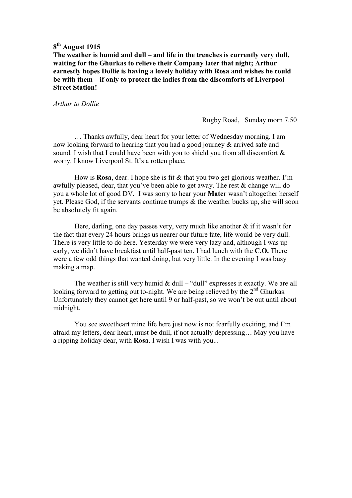**The weather is humid and dull – and life in the trenches is currently very dull, waiting for the Ghurkas to relieve their Company later that night; Arthur earnestly hopes Dollie is having a lovely holiday with Rosa and wishes he could be with them – if only to protect the ladies from the discomforts of Liverpool Street Station!** 

#### *Arthur to Dollie*

Rugby Road, Sunday morn 7.50

 … Thanks awfully, dear heart for your letter of Wednesday morning. I am now looking forward to hearing that you had a good journey & arrived safe and sound. I wish that I could have been with you to shield you from all discomfort & worry. I know Liverpool St. It's a rotten place.

 How is **Rosa**, dear. I hope she is fit & that you two get glorious weather. I'm awfully pleased, dear, that you've been able to get away. The rest & change will do you a whole lot of good DV. I was sorry to hear your **Mater** wasn't altogether herself yet. Please God, if the servants continue trumps & the weather bucks up, she will soon be absolutely fit again.

Here, darling, one day passes very, very much like another  $\&$  if it wasn't for the fact that every 24 hours brings us nearer our future fate, life would be very dull. There is very little to do here. Yesterday we were very lazy and, although I was up early, we didn't have breakfast until half-past ten. I had lunch with the **C.O.** There were a few odd things that wanted doing, but very little. In the evening I was busy making a map.

The weather is still very humid &  $dull - "dull"$  expresses it exactly. We are all looking forward to getting out to-night. We are being relieved by the  $2<sup>nd</sup>$  Ghurkas. Unfortunately they cannot get here until 9 or half-past, so we won't be out until about midnight.

 You see sweetheart mine life here just now is not fearfully exciting, and I'm afraid my letters, dear heart, must be dull, if not actually depressing… May you have a ripping holiday dear, with **Rosa**. I wish I was with you...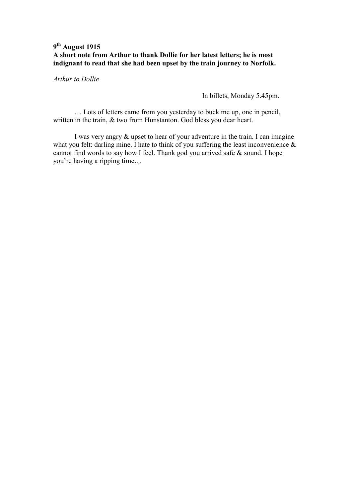### **9 th August 1915 A short note from Arthur to thank Dollie for her latest letters; he is most indignant to read that she had been upset by the train journey to Norfolk.**

*Arthur to Dollie* 

In billets, Monday 5.45pm.

 … Lots of letters came from you yesterday to buck me up, one in pencil, written in the train, & two from Hunstanton. God bless you dear heart.

 I was very angry & upset to hear of your adventure in the train. I can imagine what you felt: darling mine. I hate to think of you suffering the least inconvenience  $\&$ cannot find words to say how I feel. Thank god you arrived safe & sound. I hope you're having a ripping time…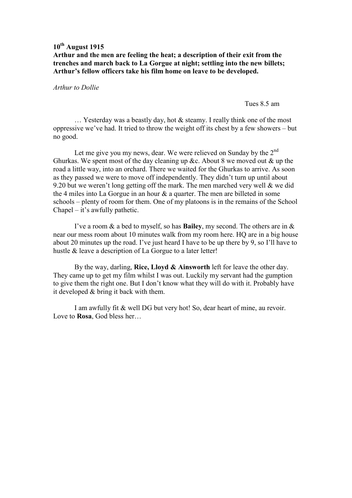### **Arthur and the men are feeling the heat; a description of their exit from the trenches and march back to La Gorgue at night; settling into the new billets; Arthur's fellow officers take his film home on leave to be developed.**

### *Arthur to Dollie*

Tues 8.5 am

… Yesterday was a beastly day, hot & steamy. I really think one of the most oppressive we've had. It tried to throw the weight off its chest by a few showers – but no good.

Let me give you my news, dear. We were relieved on Sunday by the  $2<sup>nd</sup>$ Ghurkas. We spent most of the day cleaning up &c. About 8 we moved out & up the road a little way, into an orchard. There we waited for the Ghurkas to arrive. As soon as they passed we were to move off independently. They didn't turn up until about 9.20 but we weren't long getting off the mark. The men marched very well & we did the 4 miles into La Gorgue in an hour & a quarter. The men are billeted in some schools – plenty of room for them. One of my platoons is in the remains of the School Chapel – it's awfully pathetic.

 I've a room & a bed to myself, so has **Bailey**, my second. The others are in & near our mess room about 10 minutes walk from my room here. HQ are in a big house about 20 minutes up the road. I've just heard I have to be up there by 9, so I'll have to hustle & leave a description of La Gorgue to a later letter!

 By the way, darling, **Rice, Lloyd & Ainsworth** left for leave the other day. They came up to get my film whilst I was out. Luckily my servant had the gumption to give them the right one. But I don't know what they will do with it. Probably have it developed & bring it back with them.

 I am awfully fit & well DG but very hot! So, dear heart of mine, au revoir. Love to **Rosa**, God bless her…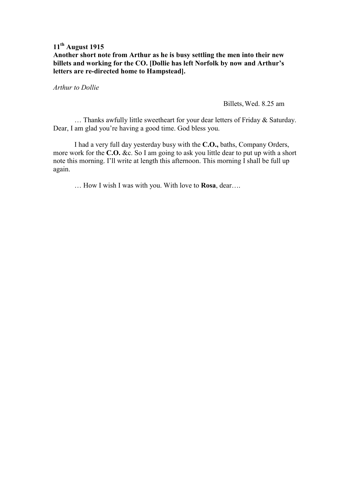## **Another short note from Arthur as he is busy settling the men into their new billets and working for the CO. [Dollie has left Norfolk by now and Arthur's letters are re-directed home to Hampstead].**

*Arthur to Dollie* 

Billets, Wed. 8.25 am

 … Thanks awfully little sweetheart for your dear letters of Friday & Saturday. Dear, I am glad you're having a good time. God bless you.

 I had a very full day yesterday busy with the **C.O.,** baths, Company Orders, more work for the **C.O.** &c. So I am going to ask you little dear to put up with a short note this morning. I'll write at length this afternoon. This morning I shall be full up again.

… How I wish I was with you. With love to **Rosa**, dear….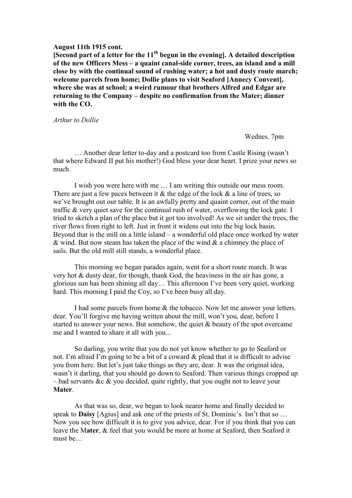#### **August 11th 1915 cont.**

**[Second part of a letter for the 11th begun in the evening]. A detailed description of the new Officers Mess – a quaint canal-side corner, trees, an island and a mill close by with the continual sound of rushing water; a hot and dusty route march; welcome parcels from home; Dollie plans to visit Seaford [Annecy Convent], where she was at school; a weird rumour that brothers Alfred and Edgar are returning to the Company – despite no confirmation from the Mater; dinner with the CO.** 

*Arthur to Dollie* 

Wednes. 7pm

 … Another dear letter to-day and a postcard too from Castle Rising (wasn't that where Edward II put his mother!) God bless your dear heart. I prize your news so much.

 I wish you were here with me … I am writing this outside our mess room. There are just a few paces between it  $\&$  the edge of the lock  $\&$  a line of trees, so we've brought out our table. It is an awfully pretty and quaint corner, out of the main traffic & very quiet save for the continual rush of water, overflowing the lock gate. I tried to sketch a plan of the place but it got too involved! As we sit under the trees, the river flows from right to left. Just in front it widens out into the big lock basin. Beyond that is the mill on a little island – a wonderful old place once worked by water & wind. But now steam has taken the place of the wind  $\&$  a chimney the place of sails. But the old mill still stands, a wonderful place.

 This morning we began parades again, went for a short route march. It was very hot & dusty dear, for though, thank God, the heaviness in the air has gone, a glorious sun has been shining all day… This afternoon I've been very quiet, working hard. This morning I paid the Coy, so I've been busy all day.

 I had some parcels from home & the tobacco. Now let me answer your letters. dear. You'll forgive me having written about the mill, won't you, dear, before I started to answer your news. But somehow, the quiet & beauty of the spot overcame me and I wanted to share it all with you...

 So darling, you write that you do not yet know whether to go to Seaford or not. I'm afraid I'm going to be a bit of a coward & plead that it is difficult to advise you from here. But let's just take things as they are, dear. It was the original idea, wasn't it darling, that you should go down to Seaford. Then various things cropped up – bad servants &c  $\&$  you decided, quite rightly, that you ought not to leave your **Mater**.

 As that was so, dear, we began to look nearer home and finally decided to speak to **Daisy** [Agius] and ask one of the priests of St. Dominic's. Isn't that so … Now you see how difficult it is to give you advice, dear. For if you think that you can leave the M**ater**, & feel that you would be more at home at Seaford, then Seaford it must be…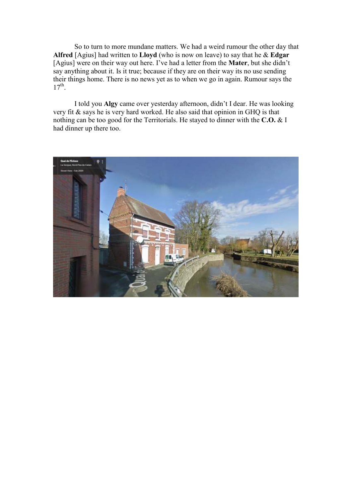So to turn to more mundane matters. We had a weird rumour the other day that **Alfred** [Agius] had written to **Lloyd** (who is now on leave) to say that he & **Edgar** [Agius] were on their way out here. I've had a letter from the **Mater**, but she didn't say anything about it. Is it true; because if they are on their way its no use sending their things home. There is no news yet as to when we go in again. Rumour says the  $17^{th}$ .

 I told you **Algy** came over yesterday afternoon, didn't I dear. He was looking very fit & says he is very hard worked. He also said that opinion in GHQ is that nothing can be too good for the Territorials. He stayed to dinner with the **C.O.** & I had dinner up there too.

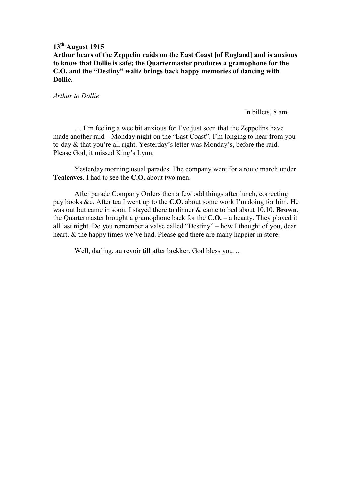**Arthur hears of the Zeppelin raids on the East Coast [of England] and is anxious to know that Dollie is safe; the Quartermaster produces a gramophone for the C.O. and the "Destiny" waltz brings back happy memories of dancing with Dollie.** 

*Arthur to Dollie* 

In billets, 8 am.

 … I'm feeling a wee bit anxious for I've just seen that the Zeppelins have made another raid – Monday night on the "East Coast". I'm longing to hear from you to-day & that you're all right. Yesterday's letter was Monday's, before the raid. Please God, it missed King's Lynn.

 Yesterday morning usual parades. The company went for a route march under **Tealeaves**. I had to see the **C.O.** about two men.

 After parade Company Orders then a few odd things after lunch, correcting pay books &c. After tea I went up to the **C.O.** about some work I'm doing for him. He was out but came in soon. I stayed there to dinner & came to bed about 10.10. **Brown**, the Quartermaster brought a gramophone back for the **C.O.** – a beauty. They played it all last night. Do you remember a valse called "Destiny" – how I thought of you, dear heart, & the happy times we've had. Please god there are many happier in store.

Well, darling, au revoir till after brekker. God bless you…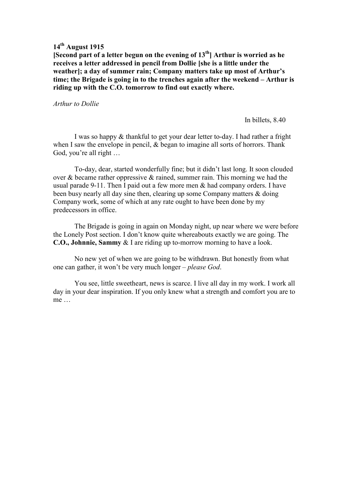**[Second part of a letter begun on the evening of 13th] Arthur is worried as he receives a letter addressed in pencil from Dollie [she is a little under the weather]; a day of summer rain; Company matters take up most of Arthur's time; the Brigade is going in to the trenches again after the weekend – Arthur is riding up with the C.O. tomorrow to find out exactly where.** 

#### *Arthur to Dollie*

In billets, 8.40

 I was so happy & thankful to get your dear letter to-day. I had rather a fright when I saw the envelope in pencil, & began to imagine all sorts of horrors. Thank God, you're all right …

 To-day, dear, started wonderfully fine; but it didn't last long. It soon clouded over  $\&$  became rather oppressive  $\&$  rained, summer rain. This morning we had the usual parade 9-11. Then I paid out a few more men & had company orders. I have been busy nearly all day sine then, clearing up some Company matters & doing Company work, some of which at any rate ought to have been done by my predecessors in office.

 The Brigade is going in again on Monday night, up near where we were before the Lonely Post section. I don't know quite whereabouts exactly we are going. The **C.O., Johnnie, Sammy** & I are riding up to-morrow morning to have a look.

 No new yet of when we are going to be withdrawn. But honestly from what one can gather, it won't be very much longer – *please God*.

 You see, little sweetheart, news is scarce. I live all day in my work. I work all day in your dear inspiration. If you only knew what a strength and comfort you are to me …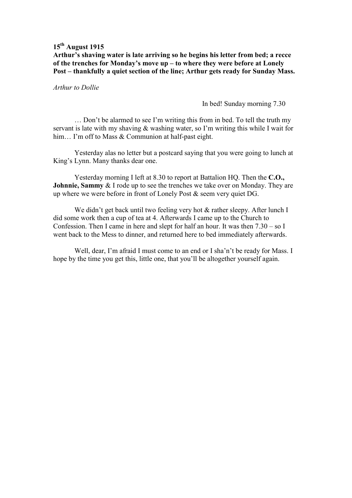**Arthur's shaving water is late arriving so he begins his letter from bed; a recce of the trenches for Monday's move up – to where they were before at Lonely Post – thankfully a quiet section of the line; Arthur gets ready for Sunday Mass.** 

*Arthur to Dollie* 

In bed! Sunday morning 7.30

 … Don't be alarmed to see I'm writing this from in bed. To tell the truth my servant is late with my shaving & washing water, so I'm writing this while I wait for him... I'm off to Mass & Communion at half-past eight.

 Yesterday alas no letter but a postcard saying that you were going to lunch at King's Lynn. Many thanks dear one.

 Yesterday morning I left at 8.30 to report at Battalion HQ. Then the **C.O., Johnnie, Sammy** & I rode up to see the trenches we take over on Monday. They are up where we were before in front of Lonely Post & seem very quiet DG.

We didn't get back until two feeling very hot & rather sleepy. After lunch I did some work then a cup of tea at 4. Afterwards I came up to the Church to Confession. Then I came in here and slept for half an hour. It was then 7.30 – so I went back to the Mess to dinner, and returned here to bed immediately afterwards.

 Well, dear, I'm afraid I must come to an end or I sha'n't be ready for Mass. I hope by the time you get this, little one, that you'll be altogether yourself again.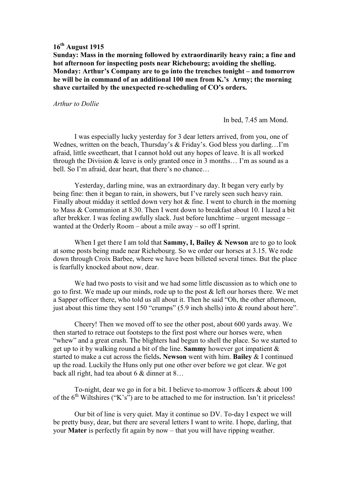**Sunday: Mass in the morning followed by extraordinarily heavy rain; a fine and hot afternoon for inspecting posts near Richebourg; avoiding the shelling. Monday: Arthur's Company are to go into the trenches tonight – and tomorrow he will be in command of an additional 100 men from K.'s Army; the morning shave curtailed by the unexpected re-scheduling of CO's orders.** 

#### *Arthur to Dollie*

In bed, 7.45 am Mond.

 I was especially lucky yesterday for 3 dear letters arrived, from you, one of Wednes, written on the beach, Thursday's & Friday's. God bless you darling…I'm afraid, little sweetheart, that I cannot hold out any hopes of leave. It is all worked through the Division & leave is only granted once in 3 months… I'm as sound as a bell. So I'm afraid, dear heart, that there's no chance…

 Yesterday, darling mine, was an extraordinary day. It began very early by being fine: then it began to rain, in showers, but I've rarely seen such heavy rain. Finally about midday it settled down very hot & fine. I went to church in the morning to Mass & Communion at 8.30. Then I went down to breakfast about 10. I lazed a bit after brekker. I was feeling awfully slack. Just before lunchtime – urgent message – wanted at the Orderly Room – about a mile away – so off I sprint.

 When I get there I am told that **Sammy, I, Bailey & Newson** are to go to look at some posts being made near Richebourg. So we order our horses at 3.15. We rode down through Croix Barbee, where we have been billeted several times. But the place is fearfully knocked about now, dear.

 We had two posts to visit and we had some little discussion as to which one to go to first. We made up our minds, rode up to the post & left our horses there. We met a Sapper officer there, who told us all about it. Then he said "Oh, the other afternoon, just about this time they sent 150 "crumps" (5.9 inch shells) into & round about here".

 Cheery! Then we moved off to see the other post, about 600 yards away. We then started to retrace out footsteps to the first post where our horses were, when "whew" and a great crash. The blighters had begun to shell the place. So we started to get up to it by walking round a bit of the line. **Sammy** however got impatient & started to make a cut across the fields**. Newson** went with him. **Bailey** & I continued up the road. Luckily the Huns only put one other over before we got clear. We got back all right, had tea about 6 & dinner at 8…

 To-night, dear we go in for a bit. I believe to-morrow 3 officers & about 100 of the  $6<sup>th</sup>$  Wiltshires ("K's") are to be attached to me for instruction. Isn't it priceless!

 Our bit of line is very quiet. May it continue so DV. To-day I expect we will be pretty busy, dear, but there are several letters I want to write. I hope, darling, that your **Mater** is perfectly fit again by now – that you will have ripping weather.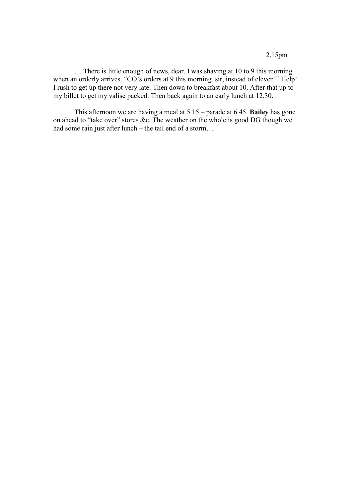… There is little enough of news, dear. I was shaving at 10 to 9 this morning when an orderly arrives. "CO's orders at 9 this morning, sir, instead of eleven!" Help! I rush to get up there not very late. Then down to breakfast about 10. After that up to my billet to get my valise packed. Then back again to an early lunch at 12.30.

 This afternoon we are having a meal at 5.15 – parade at 6.45. **Bailey** has gone on ahead to "take over" stores &c. The weather on the whole is good DG though we had some rain just after lunch – the tail end of a storm…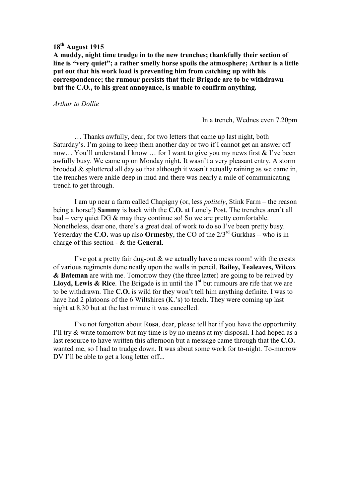**A muddy, night time trudge in to the new trenches; thankfully their section of line is "very quiet"; a rather smelly horse spoils the atmosphere; Arthur is a little put out that his work load is preventing him from catching up with his correspondence; the rumour persists that their Brigade are to be withdrawn – but the C.O., to his great annoyance, is unable to confirm anything.** 

#### *Arthur to Dollie*

In a trench, Wednes even 7.20pm

 … Thanks awfully, dear, for two letters that came up last night, both Saturday's. I'm going to keep them another day or two if I cannot get an answer off now… You'll understand I know … for I want to give you my news first & I've been awfully busy. We came up on Monday night. It wasn't a very pleasant entry. A storm brooded & spluttered all day so that although it wasn't actually raining as we came in, the trenches were ankle deep in mud and there was nearly a mile of communicating trench to get through.

 I am up near a farm called Chapigny (or, less *politely*, Stink Farm – the reason being a horse!) **Sammy** is back with the **C.O.** at Lonely Post. The trenches aren't all bad – very quiet DG & may they continue so! So we are pretty comfortable. Nonetheless, dear one, there's a great deal of work to do so I've been pretty busy. Yesterday the **C.O.** was up also **Ormesby**, the CO of the 2/3rd Gurkhas – who is in charge of this section - & the **General**.

 I've got a pretty fair dug-out & we actually have a mess room! with the crests of various regiments done neatly upon the walls in pencil. **Bailey, Tealeaves, Wilcox & Bateman** are with me. Tomorrow they (the three latter) are going to be relived by **Lloyd, Lewis & Rice**. The Brigade is in until the  $1<sup>st</sup>$  but rumours are rife that we are to be withdrawn. The **C.O.** is wild for they won't tell him anything definite. I was to have had 2 platoons of the 6 Wiltshires (K.'s) to teach. They were coming up last night at 8.30 but at the last minute it was cancelled.

 I've not forgotten about R**osa**, dear, please tell her if you have the opportunity. I'll try & write tomorrow but my time is by no means at my disposal. I had hoped as a last resource to have written this afternoon but a message came through that the **C.O.** wanted me, so I had to trudge down. It was about some work for to-night. To-morrow DV I'll be able to get a long letter off...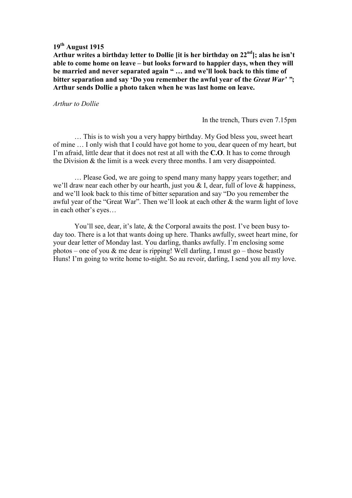**Arthur writes a birthday letter to Dollie [it is her birthday on 22nd]; alas he isn't able to come home on leave – but looks forward to happier days, when they will be married and never separated again " … and we'll look back to this time of bitter separation and say 'Do you remember the awful year of the** *Great War' "***; Arthur sends Dollie a photo taken when he was last home on leave.** 

#### *Arthur to Dollie*

In the trench, Thurs even 7.15pm

 … This is to wish you a very happy birthday. My God bless you, sweet heart of mine … I only wish that I could have got home to you, dear queen of my heart, but I'm afraid, little dear that it does not rest at all with the **C.O**. It has to come through the Division & the limit is a week every three months. I am very disappointed.

 … Please God, we are going to spend many many happy years together; and we'll draw near each other by our hearth, just you  $\&$  I, dear, full of love  $\&$  happiness, and we'll look back to this time of bitter separation and say "Do you remember the awful year of the "Great War". Then we'll look at each other & the warm light of love in each other's eyes…

You'll see, dear, it's late, & the Corporal awaits the post. I've been busy today too. There is a lot that wants doing up here. Thanks awfully, sweet heart mine, for your dear letter of Monday last. You darling, thanks awfully. I'm enclosing some photos – one of you  $\&$  me dear is ripping! Well darling, I must go – those beastly Huns! I'm going to write home to-night. So au revoir, darling, I send you all my love.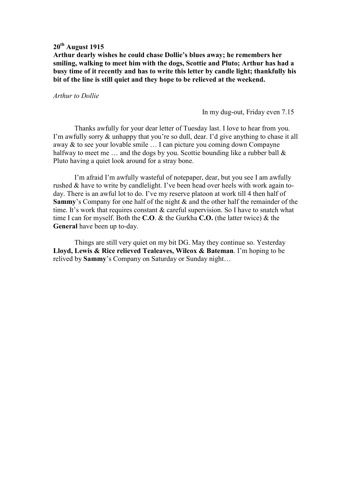**Arthur dearly wishes he could chase Dollie's blues away; he remembers her smiling, walking to meet him with the dogs, Scottie and Pluto; Arthur has had a busy time of it recently and has to write this letter by candle light; thankfully his bit of the line is still quiet and they hope to be relieved at the weekend.** 

*Arthur to Dollie* 

In my dug-out, Friday even 7.15

 Thanks awfully for your dear letter of Tuesday last. I love to hear from you. I'm awfully sorry & unhappy that you're so dull, dear. I'd give anything to chase it all away & to see your lovable smile … I can picture you coming down Compayne halfway to meet me  $\ldots$  and the dogs by you. Scottie bounding like a rubber ball  $\&$ Pluto having a quiet look around for a stray bone.

 I'm afraid I'm awfully wasteful of notepaper, dear, but you see I am awfully rushed & have to write by candlelight. I've been head over heels with work again today. There is an awful lot to do. I've my reserve platoon at work till 4 then half of **Sammy**'s Company for one half of the night & and the other half the remainder of the time. It's work that requires constant & careful supervision. So I have to snatch what time I can for myself. Both the **C.O**. & the Gurkha **C.O.** (the latter twice) & the **General** have been up to-day.

 Things are still very quiet on my bit DG. May they continue so. Yesterday **Lloyd, Lewis & Rice relieved Tealeaves, Wilcox & Bateman**. I'm hoping to be relived by **Sammy**'s Company on Saturday or Sunday night…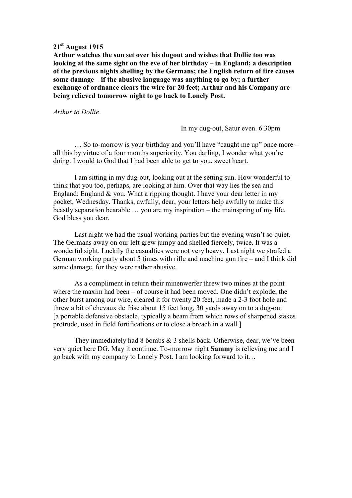## **21st August 1915**

**Arthur watches the sun set over his dugout and wishes that Dollie too was looking at the same sight on the eve of her birthday – in England; a description of the previous nights shelling by the Germans; the English return of fire causes some damage – if the abusive language was anything to go by; a further exchange of ordnance clears the wire for 20 feet; Arthur and his Company are being relieved tomorrow night to go back to Lonely Post.** 

*Arthur to Dollie* 

In my dug-out, Satur even. 6.30pm

 … So to-morrow is your birthday and you'll have "caught me up" once more – all this by virtue of a four months superiority. You darling, I wonder what you're doing. I would to God that I had been able to get to you, sweet heart.

 I am sitting in my dug-out, looking out at the setting sun. How wonderful to think that you too, perhaps, are looking at him. Over that way lies the sea and England: England & you. What a ripping thought. I have your dear letter in my pocket, Wednesday. Thanks, awfully, dear, your letters help awfully to make this beastly separation bearable … you are my inspiration – the mainspring of my life. God bless you dear.

 Last night we had the usual working parties but the evening wasn't so quiet. The Germans away on our left grew jumpy and shelled fiercely, twice. It was a wonderful sight. Luckily the casualties were not very heavy. Last night we strafed a German working party about 5 times with rifle and machine gun fire – and I think did some damage, for they were rather abusive.

 As a compliment in return their minenwerfer threw two mines at the point where the maxim had been – of course it had been moved. One didn't explode, the other burst among our wire, cleared it for twenty 20 feet, made a 2-3 foot hole and threw a bit of chevaux de frise about 15 feet long, 30 yards away on to a dug-out. [a portable defensive obstacle, typically a beam from which rows of sharpened stakes protrude, used in field fortifications or to close a breach in a wall.]

 They immediately had 8 bombs & 3 shells back. Otherwise, dear, we've been very quiet here DG. May it continue. To-morrow night **Sammy** is relieving me and I go back with my company to Lonely Post. I am looking forward to it…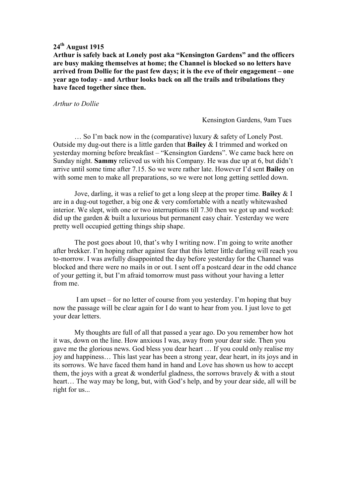**Arthur is safely back at Lonely post aka "Kensington Gardens" and the officers are busy making themselves at home; the Channel is blocked so no letters have arrived from Dollie for the past few days; it is the eve of their engagement – one year ago today - and Arthur looks back on all the trails and tribulations they have faced together since then.** 

*Arthur to Dollie* 

Kensington Gardens, 9am Tues

 … So I'm back now in the (comparative) luxury & safety of Lonely Post. Outside my dug-out there is a little garden that **Bailey** & I trimmed and worked on yesterday morning before breakfast – "Kensington Gardens". We came back here on Sunday night. **Sammy** relieved us with his Company. He was due up at 6, but didn't arrive until some time after 7.15. So we were rather late. However I'd sent **Bailey** on with some men to make all preparations, so we were not long getting settled down.

 Jove, darling, it was a relief to get a long sleep at the proper time. **Bailey** & I are in a dug-out together, a big one & very comfortable with a neatly whitewashed interior. We slept, with one or two interruptions till 7.30 then we got up and worked: did up the garden & built a luxurious but permanent easy chair. Yesterday we were pretty well occupied getting things ship shape.

 The post goes about 10, that's why I writing now. I'm going to write another after brekker. I'm hoping rather against fear that this letter little darling will reach you to-morrow. I was awfully disappointed the day before yesterday for the Channel was blocked and there were no mails in or out. I sent off a postcard dear in the odd chance of your getting it, but I'm afraid tomorrow must pass without your having a letter from me.

 I am upset – for no letter of course from you yesterday. I'm hoping that buy now the passage will be clear again for I do want to hear from you. I just love to get your dear letters.

 My thoughts are full of all that passed a year ago. Do you remember how hot it was, down on the line. How anxious I was, away from your dear side. Then you gave me the glorious news. God bless you dear heart … If you could only realise my joy and happiness… This last year has been a strong year, dear heart, in its joys and in its sorrows. We have faced them hand in hand and Love has shown us how to accept them, the joys with a great  $\&$  wonderful gladness, the sorrows bravely  $\&$  with a stout heart… The way may be long, but, with God's help, and by your dear side, all will be right for us...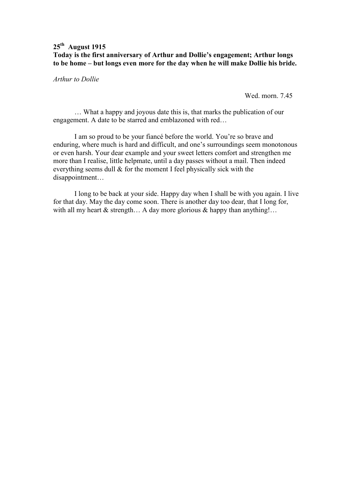## **25th August 1915 Today is the first anniversary of Arthur and Dollie's engagement; Arthur longs to be home – but longs even more for the day when he will make Dollie his bride.**

*Arthur to Dollie* 

Wed. morn. 7.45

 … What a happy and joyous date this is, that marks the publication of our engagement. A date to be starred and emblazoned with red…

 I am so proud to be your fiancé before the world. You're so brave and enduring, where much is hard and difficult, and one's surroundings seem monotonous or even harsh. Your dear example and your sweet letters comfort and strengthen me more than I realise, little helpmate, until a day passes without a mail. Then indeed everything seems dull & for the moment I feel physically sick with the disappointment…

 I long to be back at your side. Happy day when I shall be with you again. I live for that day. May the day come soon. There is another day too dear, that I long for, with all my heart  $\&$  strength... A day more glorious  $\&$  happy than anything!...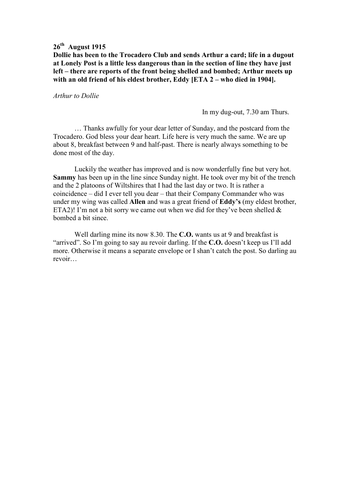**Dollie has been to the Trocadero Club and sends Arthur a card; life in a dugout at Lonely Post is a little less dangerous than in the section of line they have just left – there are reports of the front being shelled and bombed; Arthur meets up with an old friend of his eldest brother, Eddy [ETA 2 – who died in 1904].** 

*Arthur to Dollie* 

In my dug-out, 7.30 am Thurs.

 … Thanks awfully for your dear letter of Sunday, and the postcard from the Trocadero. God bless your dear heart. Life here is very much the same. We are up about 8, breakfast between 9 and half-past. There is nearly always something to be done most of the day.

 Luckily the weather has improved and is now wonderfully fine but very hot. **Sammy** has been up in the line since Sunday night. He took over my bit of the trench and the 2 platoons of Wiltshires that I had the last day or two. It is rather a coincidence – did I ever tell you dear – that their Company Commander who was under my wing was called **Allen** and was a great friend of **Eddy's** (my eldest brother, ETA2)! I'm not a bit sorry we came out when we did for they've been shelled  $\&$ bombed a bit since.

 Well darling mine its now 8.30. The **C.O.** wants us at 9 and breakfast is "arrived". So I'm going to say au revoir darling. If the **C.O.** doesn't keep us I'll add more. Otherwise it means a separate envelope or I shan't catch the post. So darling au revoir…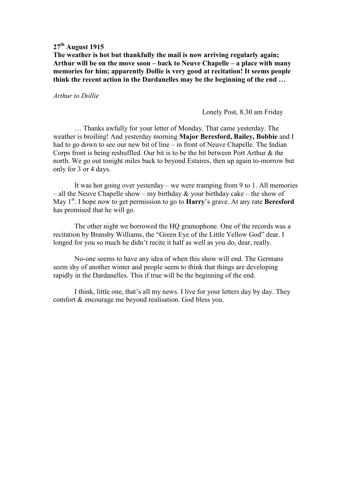**The weather is hot but thankfully the mail is now arriving regularly again; Arthur will be on the move soon – back to Neuve Chapelle – a place with many memories for him; apparently Dollie is very good at recitation! It seems people think the recent action in the Dardanelles may be the beginning of the end …**

*Arthur to Dollie* 

Lonely Post, 8.30 am Friday

 … Thanks awfully for your letter of Monday. That came yesterday. The weather is broiling! And yesterday morning **Major Beresford, Bailey, Bobbie** and I had to go down to see our new bit of line – in front of Neuve Chapelle. The Indian Corps front is being reshuffled. Our bit is to be the bit between Port Arthur & the north. We go out tonight miles back to beyond Estaires, then up again to-morrow but only for 3 or 4 days.

It was hot going over yesterday – we were tramping from 9 to 1. All memories – all the Neuve Chapelle show – my birthday  $&$  your birthday cake – the show of May 1<sup>st</sup>. I hope now to get permission to go to **Harry**'s grave. At any rate **Beresford** has promised that he will go.

The other night we borrowed the HQ gramophone. One of the records was a recitation by Bransby Williams, the "Green Eye of the Little Yellow God" dear. I longed for you so much he didn't recite it half as well as you do, dear, really.

No-one seems to have any idea of when this show will end. The Germans seem shy of another winter and people seem to think that things are developing rapidly in the Dardanelles. This if true will be the beginning of the end.

I think, little one, that's all my news. I live for your letters day by day. They comfort & encourage me beyond realisation. God bless you.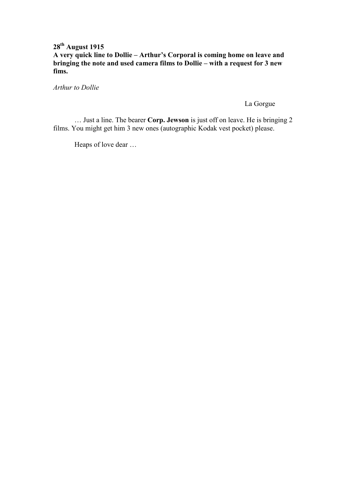## **28th August 1915 A very quick line to Dollie – Arthur's Corporal is coming home on leave and bringing the note and used camera films to Dollie – with a request for 3 new fims.**

*Arthur to Dollie* 

La Gorgue

 … Just a line. The bearer **Corp. Jewson** is just off on leave. He is bringing 2 films. You might get him 3 new ones (autographic Kodak vest pocket) please.

Heaps of love dear …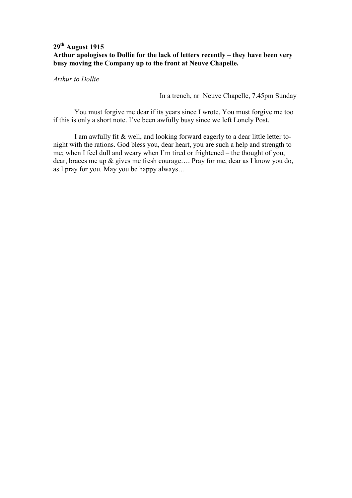## **29th August 1915 Arthur apologises to Dollie for the lack of letters recently – they have been very busy moving the Company up to the front at Neuve Chapelle.**

*Arthur to Dollie* 

In a trench, nr Neuve Chapelle, 7.45pm Sunday

 You must forgive me dear if its years since I wrote. You must forgive me too if this is only a short note. I've been awfully busy since we left Lonely Post.

 I am awfully fit & well, and looking forward eagerly to a dear little letter tonight with the rations. God bless you, dear heart, you are such a help and strength to me; when I feel dull and weary when I'm tired or frightened – the thought of you, dear, braces me up & gives me fresh courage…. Pray for me, dear as I know you do, as I pray for you. May you be happy always…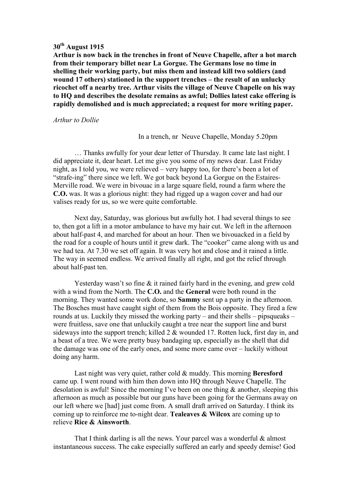**Arthur is now back in the trenches in front of Neuve Chapelle, after a hot march from their temporary billet near La Gorgue. The Germans lose no time in shelling their working party, but miss them and instead kill two soldiers (and wound 17 others) stationed in the support trenches – the result of an unlucky ricochet off a nearby tree. Arthur visits the village of Neuve Chapelle on his way to HQ and describes the desolate remains as awful; Dollies latest cake offering is rapidly demolished and is much appreciated; a request for more writing paper.** 

#### *Arthur to Dollie*

#### In a trench, nr Neuve Chapelle, Monday 5.20pm

 … Thanks awfully for your dear letter of Thursday. It came late last night. I did appreciate it, dear heart. Let me give you some of my news dear. Last Friday night, as I told you, we were relieved – very happy too, for there's been a lot of "strafe-ing" there since we left. We got back beyond La Gorgue on the Estaires-Merville road. We were in bivouac in a large square field, round a farm where the **C.O.** was. It was a glorious night: they had rigged up a wagon cover and had our valises ready for us, so we were quite comfortable.

 Next day, Saturday, was glorious but awfully hot. I had several things to see to, then got a lift in a motor ambulance to have my hair cut. We left in the afternoon about half-past 4, and marched for about an hour. Then we bivouacked in a field by the road for a couple of hours until it grew dark. The "cooker" came along with us and we had tea. At 7.30 we set off again. It was very hot and close and it rained a little. The way in seemed endless. We arrived finally all right, and got the relief through about half-past ten.

Yesterday wasn't so fine & it rained fairly hard in the evening, and grew cold with a wind from the North. The **C.O.** and the **General** were both round in the morning. They wanted some work done, so **Sammy** sent up a party in the afternoon. The Bosches must have caught sight of them from the Bois opposite. They fired a few rounds at us. Luckily they missed the working party – and their shells – pipsqueaks – were fruitless, save one that unluckily caught a tree near the support line and burst sideways into the support trench; killed 2 & wounded 17. Rotten luck, first day in, and a beast of a tree. We were pretty busy bandaging up, especially as the shell that did the damage was one of the early ones, and some more came over – luckily without doing any harm.

 Last night was very quiet, rather cold & muddy. This morning **Beresford** came up. I went round with him then down into HQ through Neuve Chapelle. The desolation is awful! Since the morning I've been on one thing & another, sleeping this afternoon as much as possible but our guns have been going for the Germans away on our left where we [had] just come from. A small draft arrived on Saturday. I think its coming up to reinforce me to-night dear. **Tealeaves & Wilcox** are coming up to relieve **Rice & Ainsworth**.

That I think darling is all the news. Your parcel was a wonderful & almost instantaneous success. The cake especially suffered an early and speedy demise! God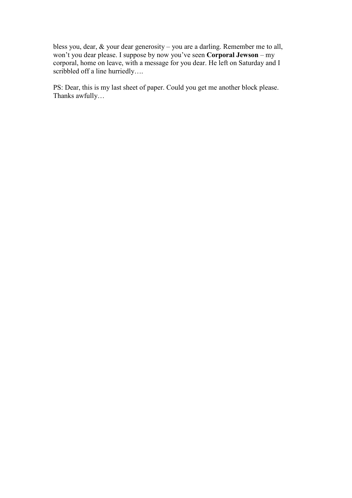bless you, dear, & your dear generosity – you are a darling. Remember me to all, won't you dear please. I suppose by now you've seen **Corporal Jewson** – my corporal, home on leave, with a message for you dear. He left on Saturday and I scribbled off a line hurriedly....

PS: Dear, this is my last sheet of paper. Could you get me another block please. Thanks awfully…